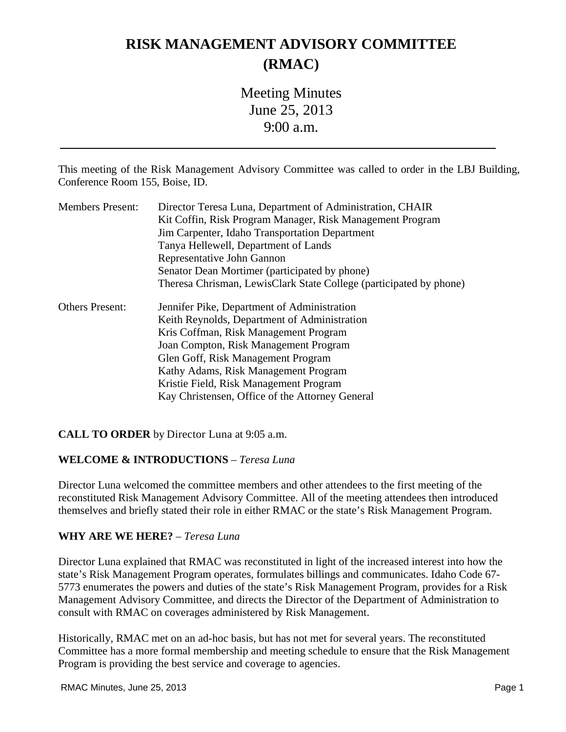## **RISK MANAGEMENT ADVISORY COMMITTEE (RMAC)**

Meeting Minutes June 25, 2013 9:00 a.m.

This meeting of the Risk Management Advisory Committee was called to order in the LBJ Building, Conference Room 155, Boise, ID.

| <b>Members Present:</b> | Director Teresa Luna, Department of Administration, CHAIR          |
|-------------------------|--------------------------------------------------------------------|
|                         | Kit Coffin, Risk Program Manager, Risk Management Program          |
|                         | Jim Carpenter, Idaho Transportation Department                     |
|                         | Tanya Hellewell, Department of Lands                               |
|                         | Representative John Gannon                                         |
|                         | Senator Dean Mortimer (participated by phone)                      |
|                         | Theresa Chrisman, LewisClark State College (participated by phone) |
| <b>Others Present:</b>  | Jennifer Pike, Department of Administration                        |
|                         | Keith Reynolds, Department of Administration                       |
|                         | Kris Coffman, Risk Management Program                              |
|                         | Joan Compton, Risk Management Program                              |
|                         | Glen Goff, Risk Management Program                                 |
|                         | Kathy Adams, Risk Management Program                               |
|                         | Kristie Field, Risk Management Program                             |
|                         | Kay Christensen, Office of the Attorney General                    |

#### **CALL TO ORDER** by Director Luna at 9:05 a.m.

#### **WELCOME & INTRODUCTIONS** – *Teresa Luna*

Director Luna welcomed the committee members and other attendees to the first meeting of the reconstituted Risk Management Advisory Committee. All of the meeting attendees then introduced themselves and briefly stated their role in either RMAC or the state's Risk Management Program.

#### **WHY ARE WE HERE?** – *Teresa Luna*

Director Luna explained that RMAC was reconstituted in light of the increased interest into how the state's Risk Management Program operates, formulates billings and communicates. Idaho Code 67- 5773 enumerates the powers and duties of the state's Risk Management Program, provides for a Risk Management Advisory Committee, and directs the Director of the Department of Administration to consult with RMAC on coverages administered by Risk Management.

Historically, RMAC met on an ad-hoc basis, but has not met for several years. The reconstituted Committee has a more formal membership and meeting schedule to ensure that the Risk Management Program is providing the best service and coverage to agencies.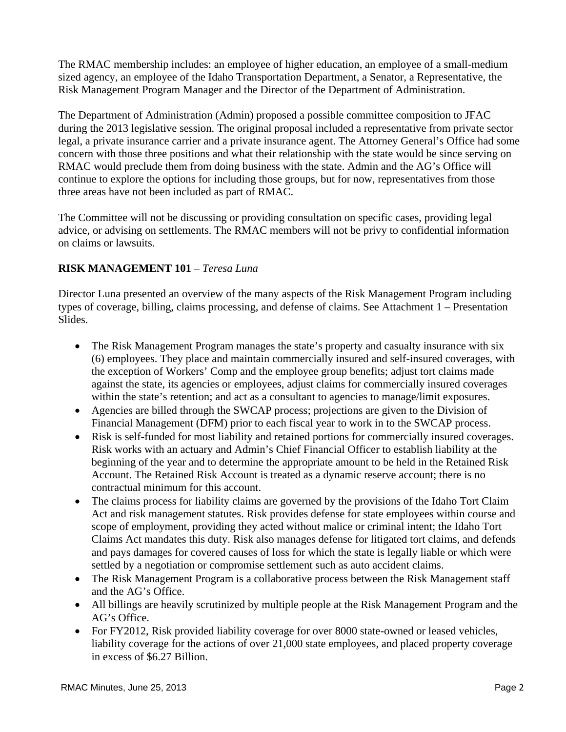The RMAC membership includes: an employee of higher education, an employee of a small-medium sized agency, an employee of the Idaho Transportation Department, a Senator, a Representative, the Risk Management Program Manager and the Director of the Department of Administration.

The Department of Administration (Admin) proposed a possible committee composition to JFAC during the 2013 legislative session. The original proposal included a representative from private sector legal, a private insurance carrier and a private insurance agent. The Attorney General's Office had some concern with those three positions and what their relationship with the state would be since serving on RMAC would preclude them from doing business with the state. Admin and the AG's Office will continue to explore the options for including those groups, but for now, representatives from those three areas have not been included as part of RMAC.

The Committee will not be discussing or providing consultation on specific cases, providing legal advice, or advising on settlements. The RMAC members will not be privy to confidential information on claims or lawsuits.

### **RISK MANAGEMENT 101** – *Teresa Luna*

Director Luna presented an overview of the many aspects of the Risk Management Program including types of coverage, billing, claims processing, and defense of claims. See Attachment 1 – Presentation Slides.

- The Risk Management Program manages the state's property and casualty insurance with six (6) employees. They place and maintain commercially insured and self-insured coverages, with the exception of Workers' Comp and the employee group benefits; adjust tort claims made against the state, its agencies or employees, adjust claims for commercially insured coverages within the state's retention; and act as a consultant to agencies to manage/limit exposures.
- Agencies are billed through the SWCAP process; projections are given to the Division of Financial Management (DFM) prior to each fiscal year to work in to the SWCAP process.
- Risk is self-funded for most liability and retained portions for commercially insured coverages. Risk works with an actuary and Admin's Chief Financial Officer to establish liability at the beginning of the year and to determine the appropriate amount to be held in the Retained Risk Account. The Retained Risk Account is treated as a dynamic reserve account; there is no contractual minimum for this account.
- The claims process for liability claims are governed by the provisions of the Idaho Tort Claim Act and risk management statutes. Risk provides defense for state employees within course and scope of employment, providing they acted without malice or criminal intent; the Idaho Tort Claims Act mandates this duty. Risk also manages defense for litigated tort claims, and defends and pays damages for covered causes of loss for which the state is legally liable or which were settled by a negotiation or compromise settlement such as auto accident claims.
- The Risk Management Program is a collaborative process between the Risk Management staff and the AG's Office.
- All billings are heavily scrutinized by multiple people at the Risk Management Program and the AG's Office.
- For FY2012, Risk provided liability coverage for over 8000 state-owned or leased vehicles, liability coverage for the actions of over 21,000 state employees, and placed property coverage in excess of \$6.27 Billion.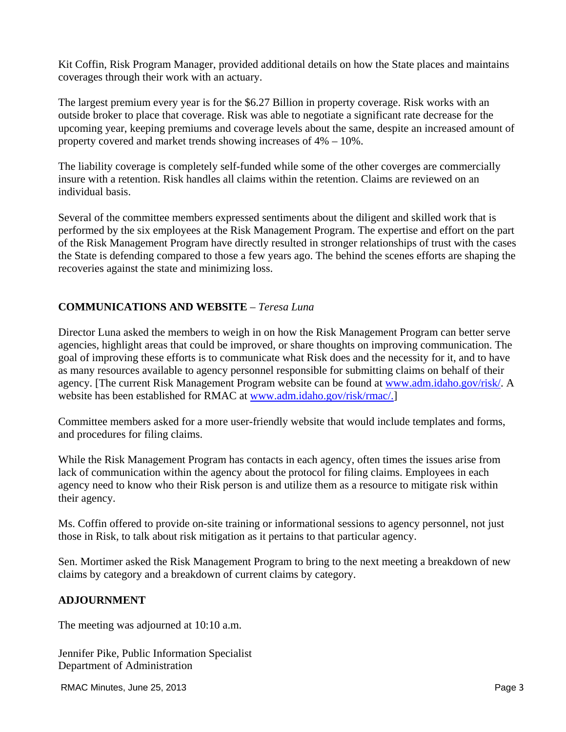Kit Coffin, Risk Program Manager, provided additional details on how the State places and maintains coverages through their work with an actuary.

The largest premium every year is for the \$6.27 Billion in property coverage. Risk works with an outside broker to place that coverage. Risk was able to negotiate a significant rate decrease for the upcoming year, keeping premiums and coverage levels about the same, despite an increased amount of property covered and market trends showing increases of 4% – 10%.

The liability coverage is completely self-funded while some of the other coverges are commercially insure with a retention. Risk handles all claims within the retention. Claims are reviewed on an individual basis.

Several of the committee members expressed sentiments about the diligent and skilled work that is performed by the six employees at the Risk Management Program. The expertise and effort on the part of the Risk Management Program have directly resulted in stronger relationships of trust with the cases the State is defending compared to those a few years ago. The behind the scenes efforts are shaping the recoveries against the state and minimizing loss.

#### **COMMUNICATIONS AND WEBSITE** – *Teresa Luna*

Director Luna asked the members to weigh in on how the Risk Management Program can better serve agencies, highlight areas that could be improved, or share thoughts on improving communication. The goal of improving these efforts is to communicate what Risk does and the necessity for it, and to have as many resources available to agency personnel responsible for submitting claims on behalf of their agency. [The current Risk Management Program website can be found at www.adm.idaho.gov/risk/. A website has been established for RMAC at www.adm.idaho.gov/risk/rmac/.]

Committee members asked for a more user-friendly website that would include templates and forms, and procedures for filing claims.

While the Risk Management Program has contacts in each agency, often times the issues arise from lack of communication within the agency about the protocol for filing claims. Employees in each agency need to know who their Risk person is and utilize them as a resource to mitigate risk within their agency.

Ms. Coffin offered to provide on-site training or informational sessions to agency personnel, not just those in Risk, to talk about risk mitigation as it pertains to that particular agency.

Sen. Mortimer asked the Risk Management Program to bring to the next meeting a breakdown of new claims by category and a breakdown of current claims by category.

#### **ADJOURNMENT**

The meeting was adjourned at 10:10 a.m.

Jennifer Pike, Public Information Specialist Department of Administration

RMAC Minutes, June 25, 2013 **Page 3 Page 3**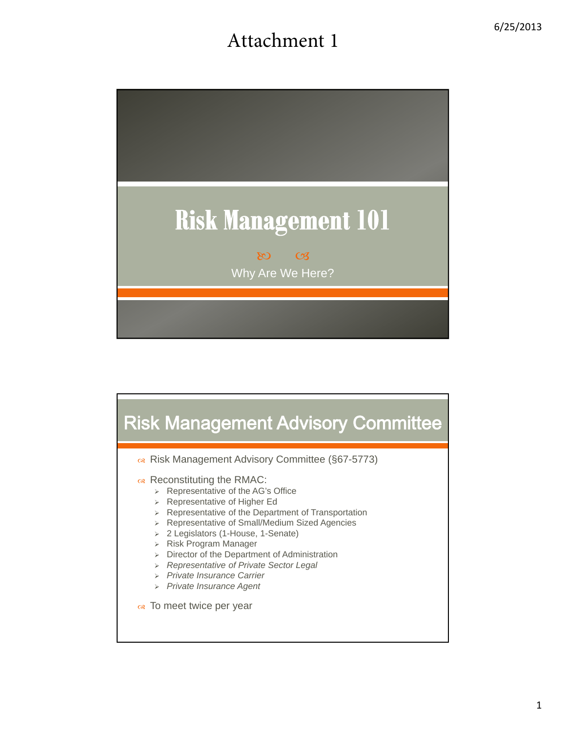# Attachment 1



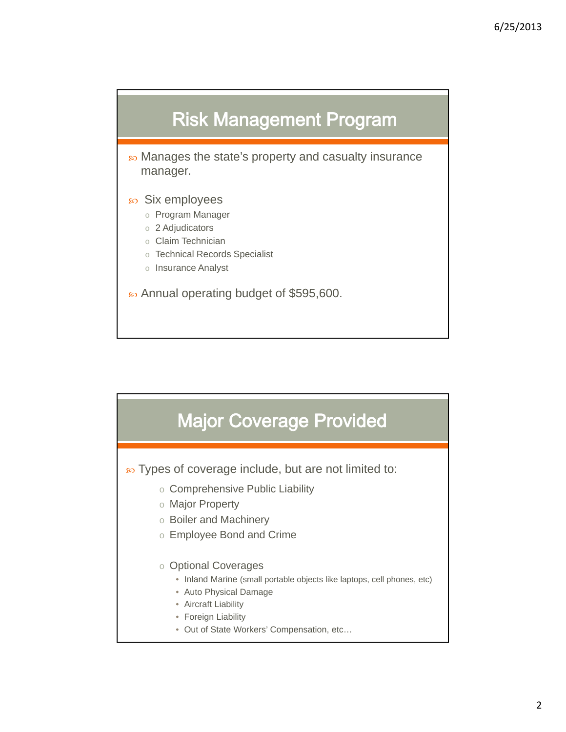

• Manages the state's property and casualty insurance manager.

- Six employees
	- o Program Manager
	- o 2 Adjudicators
	- o Claim Technician
	- o Technical Records Specialist
	- o Insurance Analyst

• Annual operating budget of \$595,600.



**EX** Types of coverage include, but are not limited to:

- o Comprehensive Public Liability
- o Major Property
- o Boiler and Machinery
- o Employee Bond and Crime

#### o Optional Coverages

- Inland Marine (small portable objects like laptops, cell phones, etc)
- Auto Physical Damage
- Aircraft Liability
- Foreign Liability
- Out of State Workers' Compensation, etc…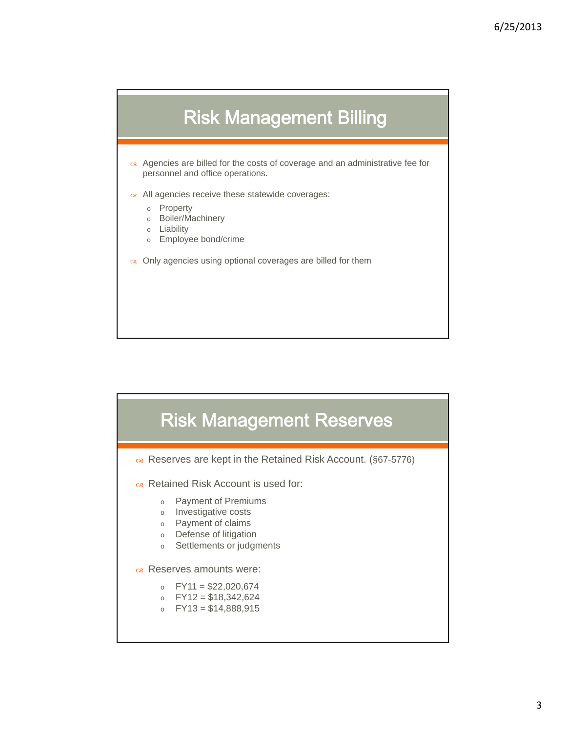

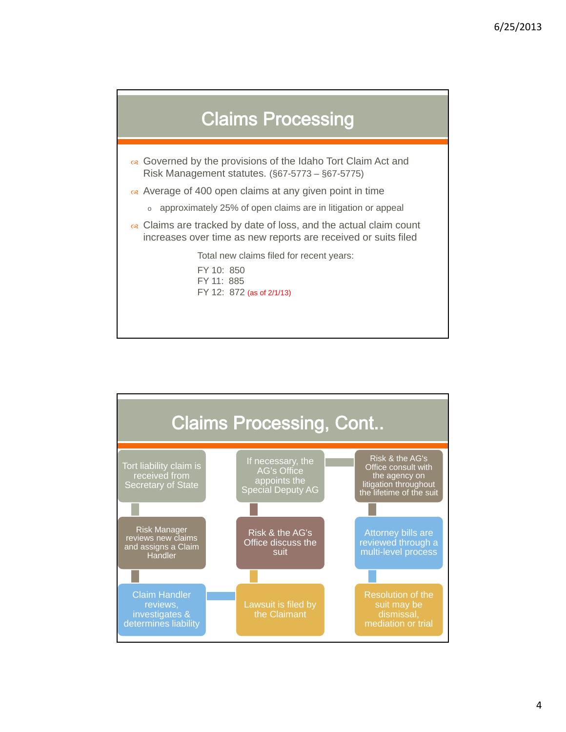

- Governed by the provisions of the Idaho Tort Claim Act and Risk Management statutes. (§67-5773 – §67-5775)
- $\alpha$  Average of 400 open claims at any given point in time
	- o approximately 25% of open claims are in litigation or appeal
- $\alpha$  Claims are tracked by date of loss, and the actual claim count increases over time as new reports are received or suits filed

Total new claims filed for recent years:

FY 10: 850 FY 11: 885 FY 12: 872 (as of 2/1/13)

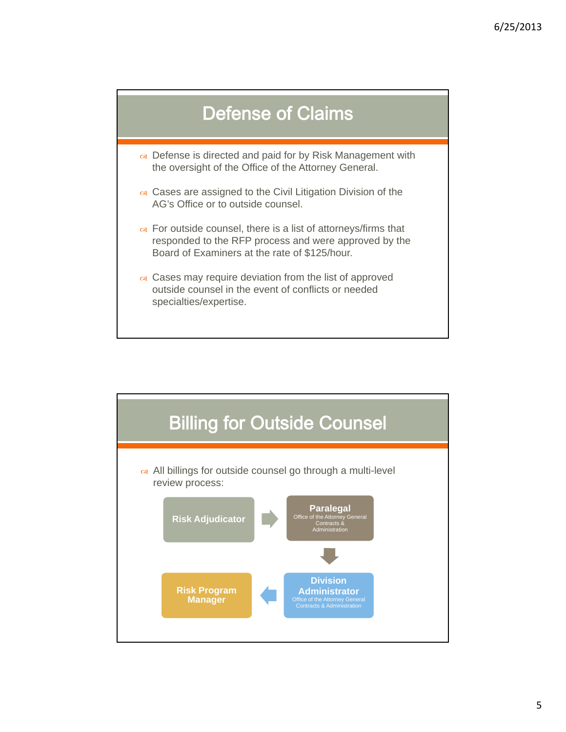